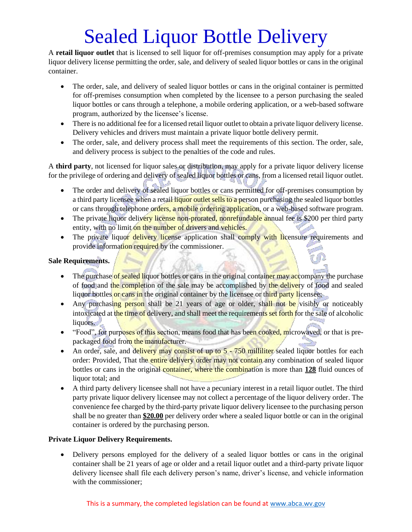# Sealed Liquor Bottle Delivery

A **retail liquor outlet** that is licensed to sell liquor for off-premises consumption may apply for a private liquor delivery license permitting the order, sale, and delivery of sealed liquor bottles or cans in the original container.

- The order, sale, and delivery of sealed liquor bottles or cans in the original container is permitted for off-premises consumption when completed by the licensee to a person purchasing the sealed liquor bottles or cans through a telephone, a mobile ordering application, or a web-based software program, authorized by the licensee's license.
- There is no additional fee for a licensed retail liquor outlet to obtain a private liquor delivery license. Delivery vehicles and drivers must maintain a private liquor bottle delivery permit.
- The order, sale, and delivery process shall meet the requirements of this section. The order, sale, and delivery process is subject to the penalties of the code and rules.

A **third party**, not licensed for liquor sales or distribution, may apply for a private liquor delivery license for the privilege of ordering and delivery of sealed liquor bottles or cans, from a licensed retail liquor outlet.

- The order and delivery of sealed liquor bottles or cans permitted for off-premises consumption by a third party licensee when a retail liquor outlet sells to a person purchasing the sealed liquor bottles or cans through telephone orders, a mobile ordering application, or a web-based software program.
- The private liquor delivery license non-prorated, nonrefundable annual fee is \$200 per third party entity, with no limit on the number of drivers and vehicles.
- The private liquor delivery license application shall comply with licensure requirements and provide information required by the commissioner.

#### **Sale Requirements.**

- The purchase of sealed liquor bottles or cans in the original container may accompany the purchase of food and the completion of the sale may be accomplished by the delivery of food and sealed liquor bottles or cans in the original container by the licensee or third party licensee;
- Any purchasing person shall be 21 years of age or older, shall not be visibly or noticeably intoxicated at the time of delivery, and shall meet the requirements set forth for the sale of alcoholic liquors.
- "Food", for purposes of this section, means food that has been cooked, microwaved, or that is prepackaged food from the manufacturer.
- An order, sale, and delivery may consist of up to 5 750 milliliter sealed liquor bottles for each order: Provided, That the entire delivery order may not contain any combination of sealed liquor bottles or cans in the original container, where the combination is more than **128** fluid ounces of liquor total; and
- A third party delivery licensee shall not have a pecuniary interest in a retail liquor outlet. The third party private liquor delivery licensee may not collect a percentage of the liquor delivery order. The convenience fee charged by the third-party private liquor delivery licensee to the purchasing person shall be no greater than **\$20.00** per delivery order where a sealed liquor bottle or can in the original container is ordered by the purchasing person.

#### **Private Liquor Delivery Requirements.**

• Delivery persons employed for the delivery of a sealed liquor bottles or cans in the original container shall be 21 years of age or older and a retail liquor outlet and a third-party private liquor delivery licensee shall file each delivery person's name, driver's license, and vehicle information with the commissioner;